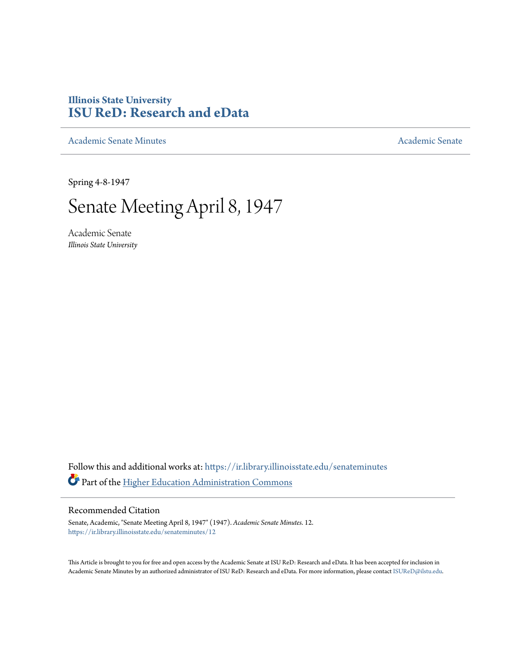## **Illinois State University [ISU ReD: Research and eData](https://ir.library.illinoisstate.edu?utm_source=ir.library.illinoisstate.edu%2Fsenateminutes%2F12&utm_medium=PDF&utm_campaign=PDFCoverPages)**

[Academic Senate Minutes](https://ir.library.illinoisstate.edu/senateminutes?utm_source=ir.library.illinoisstate.edu%2Fsenateminutes%2F12&utm_medium=PDF&utm_campaign=PDFCoverPages) [Academic Senate](https://ir.library.illinoisstate.edu/senate?utm_source=ir.library.illinoisstate.edu%2Fsenateminutes%2F12&utm_medium=PDF&utm_campaign=PDFCoverPages) Academic Senate

Spring 4-8-1947

## Senate Meeting April 8, 1947

Academic Senate *Illinois State University*

Follow this and additional works at: [https://ir.library.illinoisstate.edu/senateminutes](https://ir.library.illinoisstate.edu/senateminutes?utm_source=ir.library.illinoisstate.edu%2Fsenateminutes%2F12&utm_medium=PDF&utm_campaign=PDFCoverPages) Part of the [Higher Education Administration Commons](http://network.bepress.com/hgg/discipline/791?utm_source=ir.library.illinoisstate.edu%2Fsenateminutes%2F12&utm_medium=PDF&utm_campaign=PDFCoverPages)

## Recommended Citation

Senate, Academic, "Senate Meeting April 8, 1947" (1947). *Academic Senate Minutes*. 12. [https://ir.library.illinoisstate.edu/senateminutes/12](https://ir.library.illinoisstate.edu/senateminutes/12?utm_source=ir.library.illinoisstate.edu%2Fsenateminutes%2F12&utm_medium=PDF&utm_campaign=PDFCoverPages)

This Article is brought to you for free and open access by the Academic Senate at ISU ReD: Research and eData. It has been accepted for inclusion in Academic Senate Minutes by an authorized administrator of ISU ReD: Research and eData. For more information, please contact [ISUReD@ilstu.edu.](mailto:ISUReD@ilstu.edu)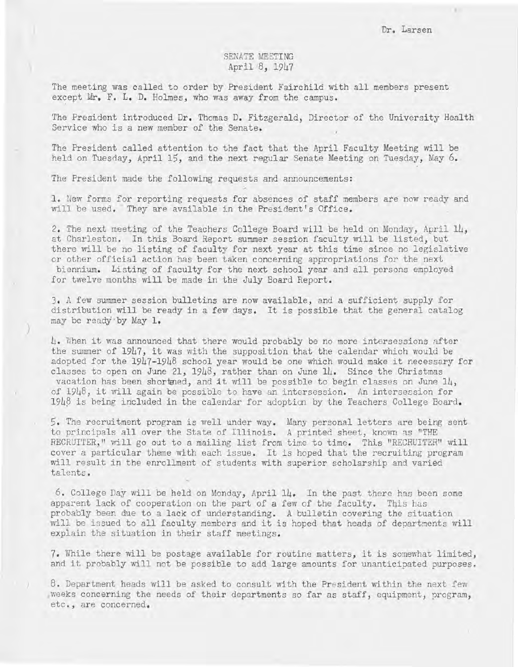## SENATE MEETING April 8, 1947

The meeting was called to order by President Fairchild with all members present except Mr. F. L. D. Holmes, who was away from the campus.

The President introduced Dr. Thomas D. Fitzgerald, Director of the University Health Service who is a new member of the Senate.

The President called attention to the fact that the April Faculty Meeting will be held on Tuesday, April 15, and the next regular Senate Meeting on Tuesday, May 6.

The President made the following requests and announcements:

)

1. New forms for reporting requests for absences of staff members *ate* now ready and will be used. They are available in the President's Office.

2. The next meeting of the Teachers College Board will be held on Monday, April 14, at Charleston. In this Board Report summer session faculty will be listed, but there will be no listing of faculty for next year at this time since no legislative or other official action has been taken concerning appropriations for the next biennium. Listing of faculty for the next school year and all persons employed for twelve months will be made in the July Board Report.

3. A few summer session bulletins are now available, and a sufficient supply for distribution will be ready in a few days. It is possible that the general catalog may be ready by May 1.

 $l_{\downarrow}$ . When it was announced that there would probably be no more intersessions after the summer of  $1947$ , it was with the supposition that the calendar which would be adopted for the 1947-1948 school year would be one which would make it necessary for classes to open on June 21,  $1948$ , rather than on June  $14$ . Since the Christmas vacation has been shortned, and it will be possible to begin classes on June 14, of 1948, it will again be possible to have an intersession. An intersession for  $1948$  is being included in the calendar for adoption by the Teachers College Board.

5. The recruitment program is well under way. Many personal letters are being sent to principals allover the State of Illinois. A printed sheet, known as "THE RECRUITER," will go out to a mailing list from time to time. This "RECRUITER" will cover a particular theme with each issue. It is hoped that the recruiting program will result in the enrollment of students with superior scholarship and varied talents.

6. College Day will be held on Monday, April 14. In the past there has been some apparent lack of cooperation on the part of a few of the faculty. This has probably been due to a lack of understanding. A bulletin covering the situation will be issued to all faculty members and it is hoped that heads of departments will explain the situation in their staff meetings.

7. While there will be postage available for routine matters, it is somewhat limited, and it probably will not be possible to add large amounts for unanticipated purposes.

8. Department heads will be asked to consult with the President within the next few weeks concerning the needs of their departments so far as staff, equipment, program, etc., are concerned.